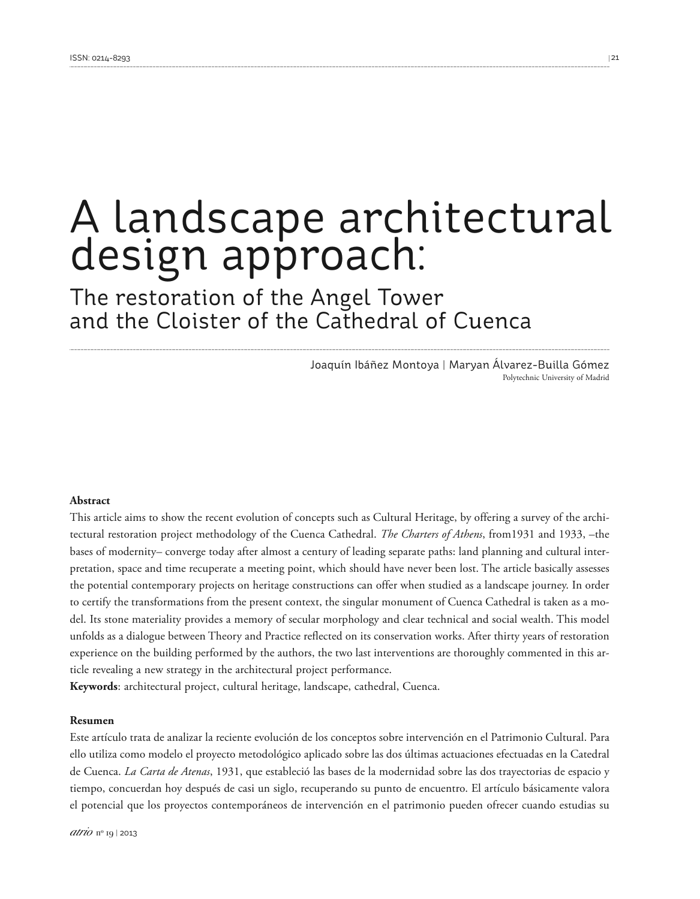# A landscape architectural design approach:

The restoration of the Angel Tower and the Cloister of the Cathedral of Cuenca

> Joaquín Ibáñez Montoya | Maryan Álvarez-Builla Gómez Polytechnic University of Madrid

#### **Abstract**

This article aims to show the recent evolution of concepts such as Cultural Heritage, by offering a survey of the architectural restoration project methodology of the Cuenca Cathedral. *The Charters of Athens*, from1931 and 1933, –the bases of modernity– converge today after almost a century of leading separate paths: land planning and cultural interpretation, space and time recuperate a meeting point, which should have never been lost. The article basically assesses the potential contemporary projects on heritage constructions can offer when studied as a landscape journey. In order to certify the transformations from the present context, the singular monument of Cuenca Cathedral is taken as a model. Its stone materiality provides a memory of secular morphology and clear technical and social wealth. This model unfolds as a dialogue between Theory and Practice reflected on its conservation works. After thirty years of restoration experience on the building performed by the authors, the two last interventions are thoroughly commented in this article revealing a new strategy in the architectural project performance.

**Keywords**: architectural project, cultural heritage, landscape, cathedral, Cuenca.

#### **Resumen**

Este artículo trata de analizar la reciente evolución de los conceptos sobre intervención en el Patrimonio Cultural. Para ello utiliza como modelo el proyecto metodológico aplicado sobre las dos últimas actuaciones efectuadas en la Catedral de Cuenca. *La Carta de Atenas*, 1931, que estableció las bases de la modernidad sobre las dos trayectorias de espacio y tiempo, concuerdan hoy después de casi un siglo, recuperando su punto de encuentro. El artículo básicamente valora el potencial que los proyectos contemporáneos de intervención en el patrimonio pueden ofrecer cuando estudias su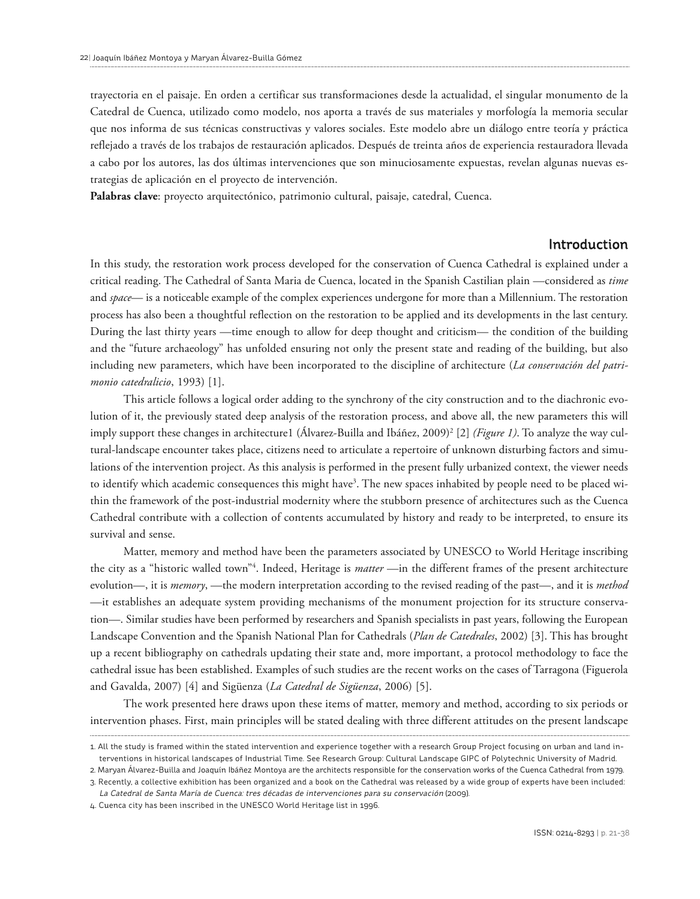trayectoria en el paisaje. En orden a certificar sus transformaciones desde la actualidad, el singular monumento de la Catedral de Cuenca, utilizado como modelo, nos aporta a través de sus materiales y morfología la memoria secular que nos informa de sus técnicas constructivas y valores sociales. Este modelo abre un diálogo entre teoría y práctica reflejado a través de los trabajos de restauración aplicados. Después de treinta años de experiencia restauradora llevada a cabo por los autores, las dos últimas intervenciones que son minuciosamente expuestas, revelan algunas nuevas estrategias de aplicación en el proyecto de intervención.

**Palabras clave**: proyecto arquitectónico, patrimonio cultural, paisaje, catedral, Cuenca.

#### Introduction

In this study, the restoration work process developed for the conservation of Cuenca Cathedral is explained under a critical reading. The Cathedral of Santa Maria de Cuenca, located in the Spanish Castilian plain —considered as *time* and *space*— is a noticeable example of the complex experiences undergone for more than a Millennium. The restoration process has also been a thoughtful reflection on the restoration to be applied and its developments in the last century. During the last thirty years —time enough to allow for deep thought and criticism— the condition of the building and the "future archaeology" has unfolded ensuring not only the present state and reading of the building, but also including new parameters, which have been incorporated to the discipline of architecture (*La conservación del patrimonio catedralicio*, 1993) [1].

This article follows a logical order adding to the synchrony of the city construction and to the diachronic evolution of it, the previously stated deep analysis of the restoration process, and above all, the new parameters this will imply support these changes in architecture1 (Álvarez-Builla and Ibáñez, 2009) <sup>2</sup> [2] *(Figure 1)*. To analyze the way cultural-landscape encounter takes place, citizens need to articulate a repertoire of unknown disturbing factors and simulations of the intervention project. As this analysis is performed in the present fully urbanized context, the viewer needs to identify which academic consequences this might have<sup>3</sup>. The new spaces inhabited by people need to be placed within the framework of the post-industrial modernity where the stubborn presence of architectures such as the Cuenca Cathedral contribute with a collection of contents accumulated by history and ready to be interpreted, to ensure its survival and sense.

Matter, memory and method have been the parameters associated by UNESCO to World Heritage inscribing the city as a "historic walled town<sup>"4</sup>. Indeed, Heritage is *matter* —in the different frames of the present architecture evolution—, it is *memory*, —the modern interpretation according to the revised reading of the past—, and it is *method* —it establishes an adequate system providing mechanisms of the monument projection for its structure conservation—. Similar studies have been performed by researchers and Spanish specialists in past years, following the European Landscape Convention and the Spanish National Plan for Cathedrals (*Plan de Catedrales*, 2002) [3]. This has brought up a recent bibliography on cathedrals updating their state and, more important, a protocol methodology to face the cathedral issue has been established. Examples of such studies are the recent works on the cases of Tarragona (Figuerola and Gavalda, 2007) [4] and Sigüenza (*La Catedral de Sigüenza*, 2006) [5].

The work presented here draws upon these items of matter, memory and method, according to six periods or intervention phases. First, main principles will be stated dealing with three different attitudes on the present landscape

<sup>1.</sup> All the study is framed within the stated intervention and experience together with a research Group Project focusing on urban and land interventions in historical landscapes of Industrial Time. See Research Group: Cultural Landscape GIPC of Polytechnic University of Madrid.

<sup>2.</sup> Maryan Álvarez-Builla and Joaquín Ibáñez Montoya are the architects responsible for the conservation works of the Cuenca Cathedral from 1979. 3. Recently, a collective exhibition has been organized and a book on the Cathedral was released by a wide group of experts have been included:

La Catedral de Santa María de Cuenca: tres décadas de intervenciones para su conservación (2009).

<sup>4.</sup> Cuenca city has been inscribed in the UNESCO World Heritage list in 1996.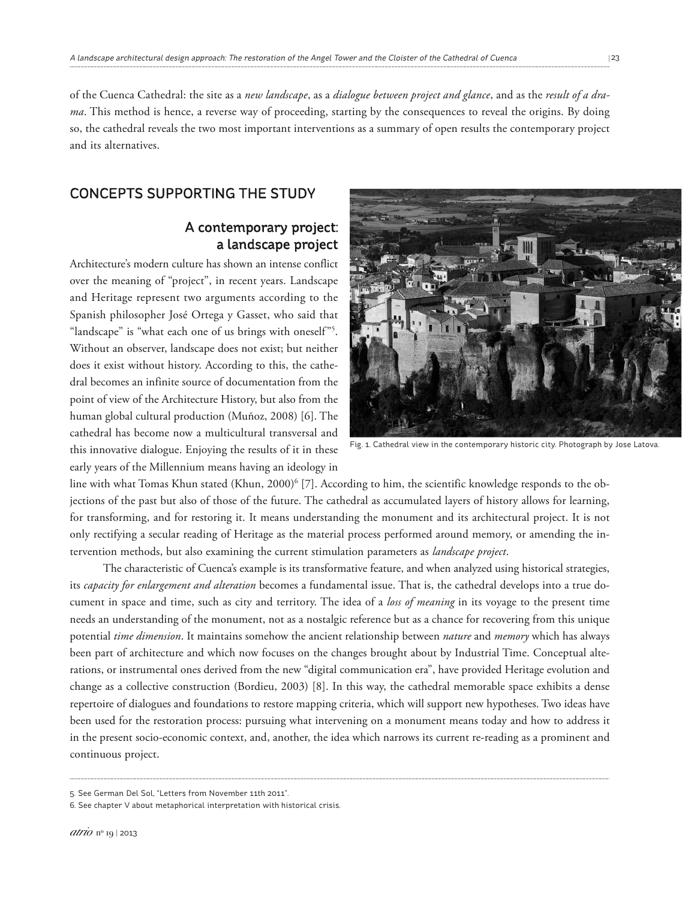of the Cuenca Cathedral: the site as a *new landscape*, as a *dialogue between project and glance*, and as the *result of a drama*. This method is hence, a reverse way of proceeding, starting by the consequences to reveal the origins. By doing so, the cathedral reveals the two most important interventions as a summary of open results the contemporary project and its alternatives.

## CONCEPTS SUPPORTING THE STUDY

## A contemporary project: a landscape project

Architecture's modern culture has shown an intense conflict over the meaning of "project", in recent years. Landscape and Heritage represent two arguments according to the Spanish philosopher José Ortega y Gasset, who said that "landscape" is "what each one of us brings with oneself"<sup>5</sup>. Without an observer, landscape does not exist; but neither does it exist without history. According to this, the cathedral becomes an infinite source of documentation from the point of view of the Architecture History, but also from the human global cultural production (Muñoz, 2008) [6]. The cathedral has become now a multicultural transversal and this innovative dialogue. Enjoying the results of it in these early years of the Millennium means having an ideology in



Fig. 1. Cathedral view in the contemporary historic city. Photograph by Jose Latova.

line with what Tomas Khun stated (Khun, 2000) <sup>6</sup> [7]. According to him, the scientific knowledge responds to the objections of the past but also of those of the future. The cathedral as accumulated layers of history allows for learning, for transforming, and for restoring it. It means understanding the monument and its architectural project. It is not only rectifying a secular reading of Heritage as the material process performed around memory, or amending the intervention methods, but also examining the current stimulation parameters as *landscape project*.

The characteristic of Cuenca's example is its transformative feature, and when analyzed using historical strategies, its *capacity for enlargement and alteration* becomes a fundamental issue. That is, the cathedral develops into a true document in space and time, such as city and territory. The idea of a *loss of meaning* in its voyage to the present time needs an understanding of the monument, not as a nostalgic reference but as a chance for recovering from this unique potential *time dimension*. It maintains somehow the ancient relationship between *nature* and *memory* which has always been part of architecture and which now focuses on the changes brought about by Industrial Time. Conceptual alterations, or instrumental ones derived from the new "digital communication era", have provided Heritage evolution and change as a collective construction (Bordieu, 2003) [8]. In this way, the cathedral memorable space exhibits a dense repertoire of dialogues and foundations to restore mapping criteria, which will support new hypotheses. Two ideas have been used for the restoration process: pursuing what intervening on a monument means today and how to address it in the present socio-economic context, and, another, the idea which narrows its current re-reading as a prominent and continuous project.

<sup>5.</sup> See German Del Sol, "Letters from November 11th 2011".

<sup>6.</sup> See chapter V about metaphorical interpretation with historical crisis.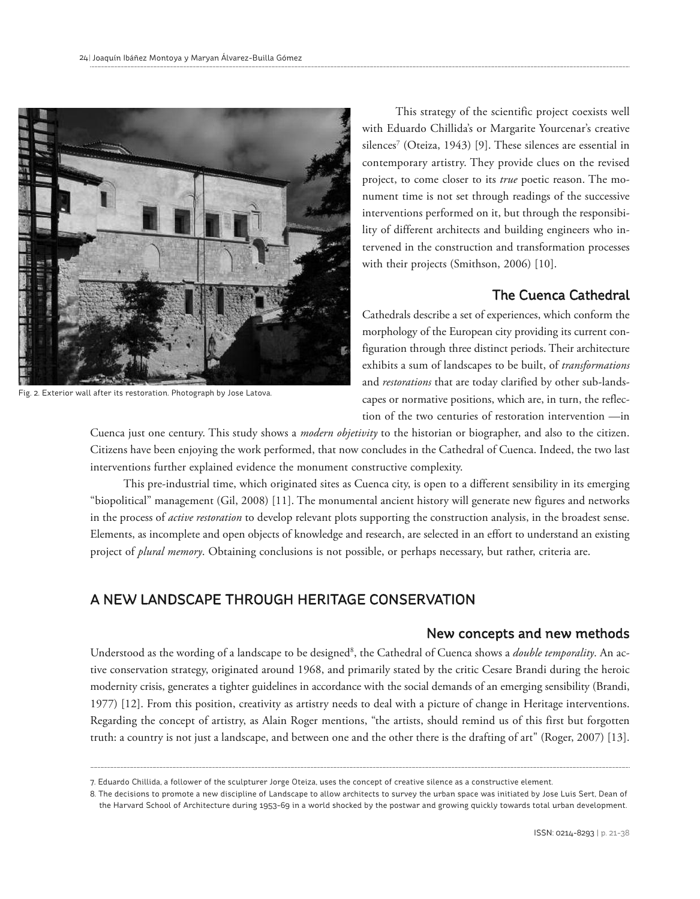

Fig. 2. Exterior wall after its restoration. Photograph by Jose Latova.

This strategy of the scientific project coexists well with Eduardo Chillida's or Margarite Yourcenar's creative silences <sup>7</sup> (Oteiza, 1943) [9]. These silences are essential in contemporary artistry. They provide clues on the revised project, to come closer to its *true* poetic reason. The monument time is not set through readings of the successive interventions performed on it, but through the responsibility of different architects and building engineers who intervened in the construction and transformation processes with their projects (Smithson, 2006) [10].

## The Cuenca Cathedral

Cathedrals describe a set of experiences, which conform the morphology of the European city providing its current configuration through three distinct periods. Their architecture exhibits a sum of landscapes to be built, of *transformations* and *restorations* that are today clarified by other sub-landscapes or normative positions, which are, in turn, the reflection of the two centuries of restoration intervention —in

Cuenca just one century. This study shows a *modern objetivity* to the historian or biographer, and also to the citizen. Citizens have been enjoying the work performed, that now concludes in the Cathedral of Cuenca. Indeed, the two last interventions further explained evidence the monument constructive complexity.

This pre-industrial time, which originated sites as Cuenca city, is open to a different sensibility in its emerging "biopolitical" management (Gil, 2008) [11]. The monumental ancient history will generate new figures and networks in the process of *active restoration* to develop relevant plots supporting the construction analysis, in the broadest sense. Elements, as incomplete and open objects of knowledge and research, are selected in an effort to understand an existing project of *plural memory*. Obtaining conclusions is not possible, or perhaps necessary, but rather, criteria are.

# A NEW LANDSCAPE THROUGH HERITAGE CONSERVATION

## New concepts and new methods

Understood as the wording of a landscape to be designed<sup>8</sup>, the Cathedral of Cuenca shows a *double temporality*. An active conservation strategy, originated around 1968, and primarily stated by the critic Cesare Brandi during the heroic modernity crisis, generates a tighter guidelines in accordance with the social demands of an emerging sensibility (Brandi, 1977) [12]. From this position, creativity as artistry needs to deal with a picture of change in Heritage interventions. Regarding the concept of artistry, as Alain Roger mentions, "the artists, should remind us of this first but forgotten truth: a country is not just a landscape, and between one and the other there is the drafting of art" (Roger, 2007) [13].

<sup>7.</sup> Eduardo Chillida, a follower of the sculpturer Jorge Oteiza, uses the concept of creative silence as a constructive element.

<sup>8.</sup> The decisions to promote a new discipline of Landscape to allow architects to survey the urban space was initiated by Jose Luis Sert, Dean of the Harvard School of Architecture during 1953-69 in a world shocked by the postwar and growing quickly towards total urban development.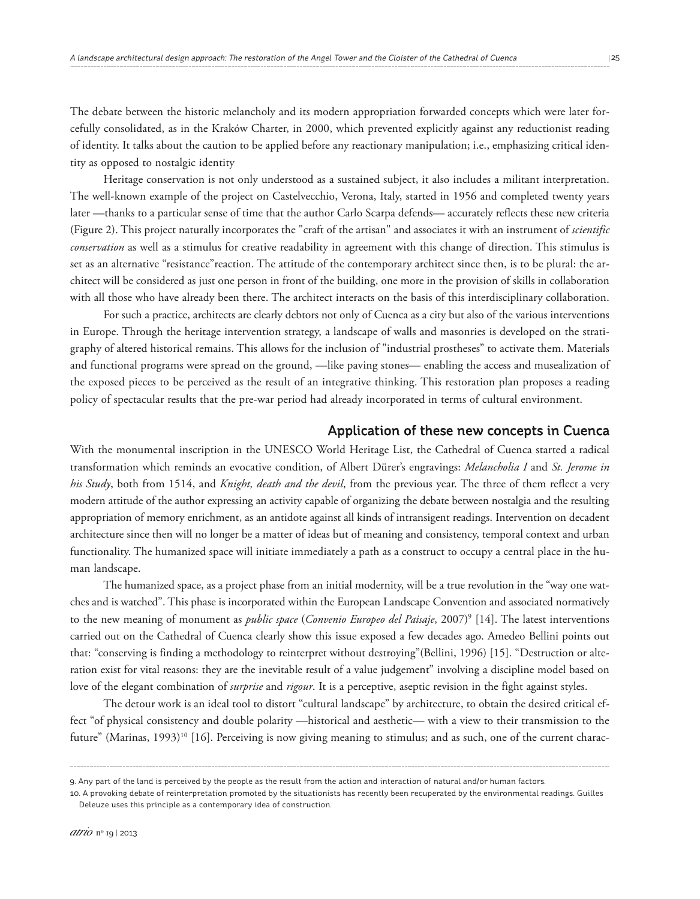The debate between the historic melancholy and its modern appropriation forwarded concepts which were later forcefully consolidated, as in the Kraków Charter, in 2000, which prevented explicitly against any reductionist reading of identity. It talks about the caution to be applied before any reactionary manipulation; i.e., emphasizing critical iden-

tity as opposed to nostalgic identity

Heritage conservation is not only understood as a sustained subject, it also includes a militant interpretation. The well-known example of the project on Castelvecchio, Verona, Italy, started in 1956 and completed twenty years later —thanks to a particular sense of time that the author Carlo Scarpa defends— accurately reflects these new criteria (Figure 2). This project naturally incorporates the "craft of the artisan" and associates it with an instrument of *scientific conservation* as well as a stimulus for creative readability in agreement with this change of direction. This stimulus is set as an alternative "resistance"reaction. The attitude of the contemporary architect since then, is to be plural: the architect will be considered as just one person in front of the building, one more in the provision of skills in collaboration with all those who have already been there. The architect interacts on the basis of this interdisciplinary collaboration.

For such a practice, architects are clearly debtors not only of Cuenca as a city but also of the various interventions in Europe. Through the heritage intervention strategy, a landscape of walls and masonries is developed on the stratigraphy of altered historical remains. This allows for the inclusion of "industrial prostheses" to activate them. Materials and functional programs were spread on the ground, —like paving stones— enabling the access and musealization of the exposed pieces to be perceived as the result of an integrative thinking. This restoration plan proposes a reading policy of spectacular results that the pre-war period had already incorporated in terms of cultural environment.

#### Application of these new concepts in Cuenca

With the monumental inscription in the UNESCO World Heritage List, the Cathedral of Cuenca started a radical transformation which reminds an evocative condition, of Albert Dürer's engravings: *Melancholia I* and *St. Jerome in his Study*, both from 1514, and *Knight, death and the devil*, from the previous year. The three of them reflect a very modern attitude of the author expressing an activity capable of organizing the debate between nostalgia and the resulting appropriation of memory enrichment, as an antidote against all kinds of intransigent readings. Intervention on decadent architecture since then will no longer be a matter of ideas but of meaning and consistency, temporal context and urban functionality. The humanized space will initiate immediately a path as a construct to occupy a central place in the human landscape.

The humanized space, as a project phase from an initial modernity, will be a true revolution in the "way one watches and is watched". This phase is incorporated within the European Landscape Convention and associated normatively to the new meaning of monument as *public space* (*Convenio Europeo del Paisaje*, 2007) <sup>9</sup> [14]. The latest interventions carried out on the Cathedral of Cuenca clearly show this issue exposed a few decades ago. Amedeo Bellini points out that: "conserving is finding a methodology to reinterpret without destroying"(Bellini, 1996) [15]. "Destruction or alteration exist for vital reasons: they are the inevitable result of a value judgement" involving a discipline model based on love of the elegant combination of *surprise* and *rigour*. It is a perceptive, aseptic revision in the fight against styles.

The detour work is an ideal tool to distort "cultural landscape" by architecture, to obtain the desired critical effect "of physical consistency and double polarity —historical and aesthetic— with a view to their transmission to the future" (Marinas, 1993) <sup>10</sup> [16]. Perceiving is now giving meaning to stimulus; and as such, one of the current charac-

<sup>9.</sup> Any part of the land is perceived by the people as the result from the action and interaction of natural and/or human factors.

<sup>10.</sup> A provoking debate of reinterpretation promoted by the situationists has recently been recuperated by the environmental readings. Guilles Deleuze uses this principle as a contemporary idea of construction.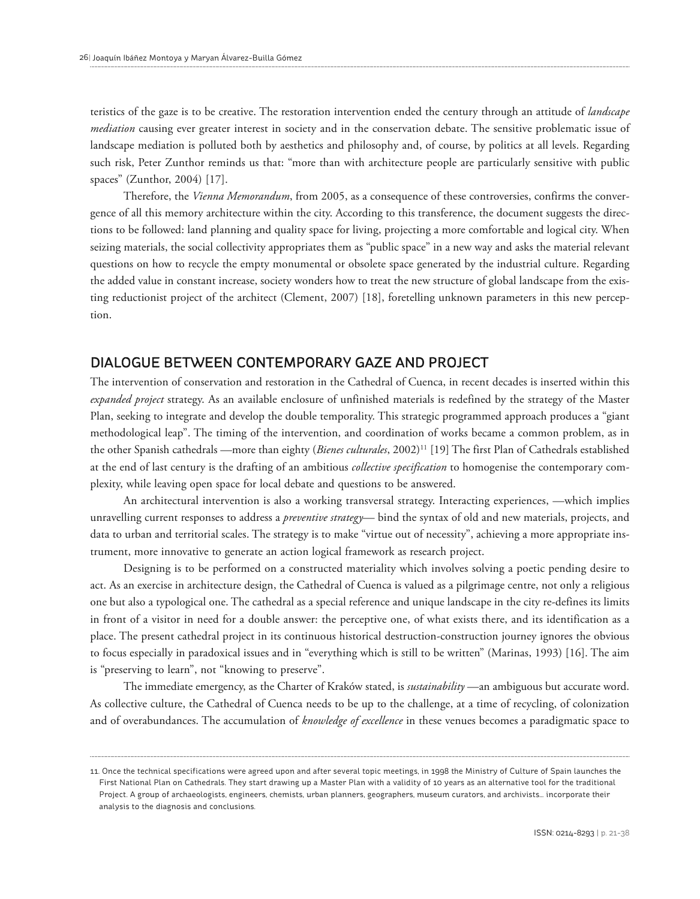teristics of the gaze is to be creative. The restoration intervention ended the century through an attitude of *landscape mediation* causing ever greater interest in society and in the conservation debate. The sensitive problematic issue of landscape mediation is polluted both by aesthetics and philosophy and, of course, by politics at all levels. Regarding such risk, Peter Zunthor reminds us that: "more than with architecture people are particularly sensitive with public spaces" (Zunthor, 2004) [17].

Therefore, the *Vienna Memorandum*, from 2005, as a consequence of these controversies, confirms the convergence of all this memory architecture within the city. According to this transference, the document suggests the directions to be followed: land planning and quality space for living, projecting a more comfortable and logical city. When seizing materials, the social collectivity appropriates them as "public space" in a new way and asks the material relevant questions on how to recycle the empty monumental or obsolete space generated by the industrial culture. Regarding the added value in constant increase, society wonders how to treat the new structure of global landscape from the existing reductionist project of the architect (Clement, 2007) [18], foretelling unknown parameters in this new perception.

## DIALOGUE BETWEEN CONTEMPORARY GAZE AND PROJECT

The intervention of conservation and restoration in the Cathedral of Cuenca, in recent decades is inserted within this *expanded project* strategy. As an available enclosure of unfinished materials is redefined by the strategy of the Master Plan, seeking to integrate and develop the double temporality. This strategic programmed approach produces a "giant methodological leap". The timing of the intervention, and coordination of works became a common problem, as in the other Spanish cathedrals —more than eighty (*Bienes culturales*, 2002) <sup>11</sup> [19] The first Plan of Cathedrals established at the end of last century is the drafting of an ambitious *collective specification* to homogenise the contemporary complexity, while leaving open space for local debate and questions to be answered.

An architectural intervention is also a working transversal strategy. Interacting experiences, —which implies unravelling current responses to address a *preventive strategy*— bind the syntax of old and new materials, projects, and data to urban and territorial scales. The strategy is to make "virtue out of necessity", achieving a more appropriate instrument, more innovative to generate an action logical framework as research project.

Designing is to be performed on a constructed materiality which involves solving a poetic pending desire to act. As an exercise in architecture design, the Cathedral of Cuenca is valued as a pilgrimage centre, not only a religious one but also a typological one. The cathedral as a special reference and unique landscape in the city re-defines its limits in front of a visitor in need for a double answer: the perceptive one, of what exists there, and its identification as a place. The present cathedral project in its continuous historical destruction-construction journey ignores the obvious to focus especially in paradoxical issues and in "everything which is still to be written" (Marinas, 1993) [16]. The aim is "preserving to learn", not "knowing to preserve".

The immediate emergency, as the Charter of Kraków stated, is *sustainability* —an ambiguous but accurate word. As collective culture, the Cathedral of Cuenca needs to be up to the challenge, at a time of recycling, of colonization and of overabundances. The accumulation of *knowledge of excellence* in these venues becomes a paradigmatic space to

<sup>11.</sup> Once the technical specifications were agreed upon and after several topic meetings, in 1998 the Ministry of Culture of Spain launches the First National Plan on Cathedrals. They start drawing up a Master Plan with a validity of 10 years as an alternative tool for the traditional Project. A group of archaeologists, engineers, chemists, urban planners, geographers, museum curators, and archivists… incorporate their analysis to the diagnosis and conclusions.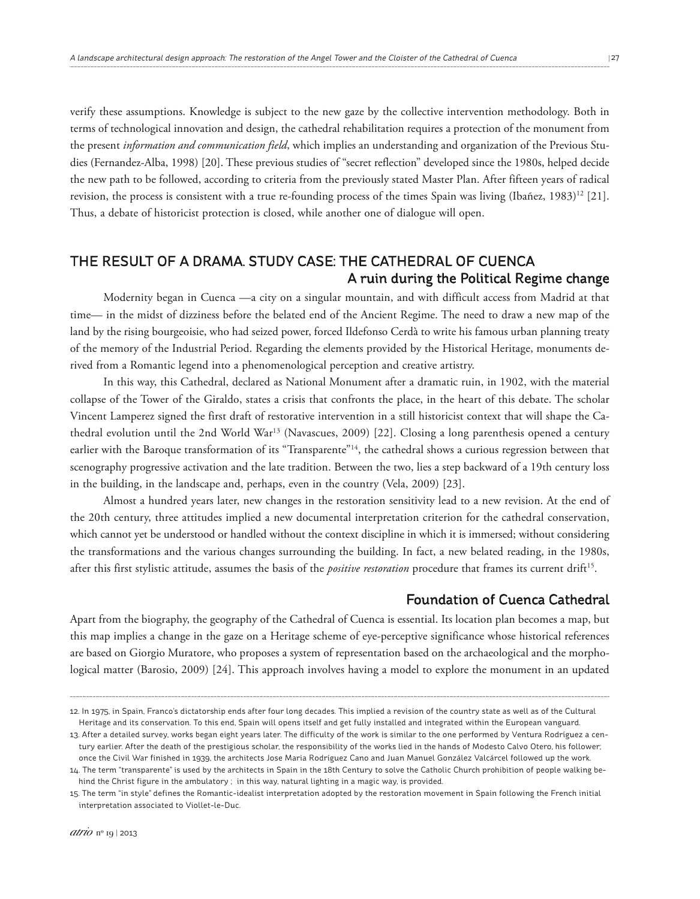verify these assumptions. Knowledge is subject to the new gaze by the collective intervention methodology. Both in terms of technological innovation and design, the cathedral rehabilitation requires a protection of the monument from the present *information and communication field*, which implies an understanding and organization of the Previous Studies (Fernandez-Alba, 1998) [20]. These previous studies of "secret reflection" developed since the 1980s, helped decide the new path to be followed, according to criteria from the previously stated Master Plan. After fifteen years of radical revision, the process is consistent with a true re-founding process of the times Spain was living (Ibañez, 1983)<sup>12</sup> [21]. Thus, a debate of historicist protection is closed, while another one of dialogue will open.

# THE RESULT OF A DRAMA. STUDY CASE: THE CATHEDRAL OF CUENCA A ruin during the Political Regime change

Modernity began in Cuenca —a city on a singular mountain, and with difficult access from Madrid at that time— in the midst of dizziness before the belated end of the Ancient Regime. The need to draw a new map of the land by the rising bourgeoisie, who had seized power, forced Ildefonso Cerdà to write his famous urban planning treaty of the memory of the Industrial Period. Regarding the elements provided by the Historical Heritage, monuments derived from a Romantic legend into a phenomenological perception and creative artistry.

In this way, this Cathedral, declared as National Monument after a dramatic ruin, in 1902, with the material collapse of the Tower of the Giraldo, states a crisis that confronts the place, in the heart of this debate. The scholar Vincent Lamperez signed the first draft of restorative intervention in a still historicist context that will shape the Cathedral evolution until the 2nd World War13 (Navascues, 2009) [22]. Closing a long parenthesis opened a century earlier with the Baroque transformation of its "Transparente"<sup>14</sup>, the cathedral shows a curious regression between that scenography progressive activation and the late tradition. Between the two, lies a step backward of a 19th century loss in the building, in the landscape and, perhaps, even in the country (Vela, 2009) [23].

Almost a hundred years later, new changes in the restoration sensitivity lead to a new revision. At the end of the 20th century, three attitudes implied a new documental interpretation criterion for the cathedral conservation, which cannot yet be understood or handled without the context discipline in which it is immersed; without considering the transformations and the various changes surrounding the building. In fact, a new belated reading, in the 1980s, after this first stylistic attitude, assumes the basis of the *positive restoration* procedure that frames its current drift 15 .

#### Foundation of Cuenca Cathedral

Apart from the biography, the geography of the Cathedral of Cuenca is essential. Its location plan becomes a map, but this map implies a change in the gaze on a Heritage scheme of eye-perceptive significance whose historical references are based on Giorgio Muratore, who proposes a system of representation based on the archaeological and the morphological matter (Barosio, 2009) [24]. This approach involves having a model to explore the monument in an updated

<sup>12.</sup> In 1975, in Spain, Franco's dictatorship ends after four long decades. This implied a revision of the country state as well as of the Cultural Heritage and its conservation. To this end, Spain will opens itself and get fully installed and integrated within the European vanguard.

<sup>13.</sup> After a detailed survey, works began eight years later. The difficulty of the work is similar to the one performed by Ventura Rodríguez a century earlier. After the death of the prestigious scholar, the responsibility of the works lied in the hands of Modesto Calvo Otero, his follower; once the Civil War finished in 1939, the architects Jose Maria Rodríguez Cano and Juan Manuel González Valcárcel followed up the work.

<sup>14.</sup> The term "transparente" is used by the architects in Spain in the 18th Century to solve the Catholic Church prohibition of people walking behind the Christ figure in the ambulatory ; in this way, natural lighting in a magic way, is provided.

<sup>15.</sup> The term "in style" defines the Romantic-idealist interpretation adopted by the restoration movement in Spain following the French initial interpretation associated to Viollet-le-Duc.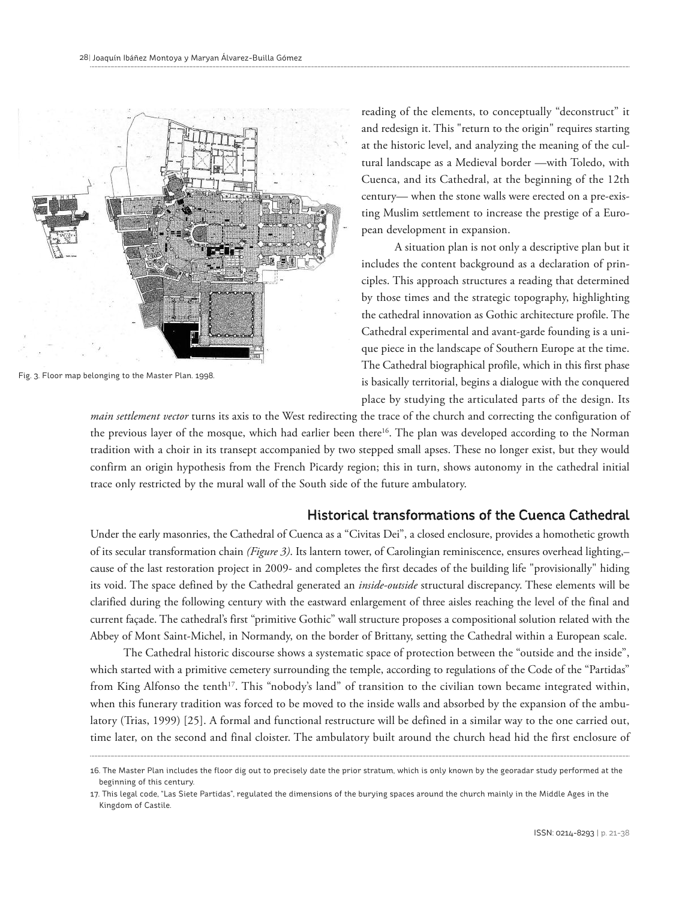

Fig. 3. Floor map belonging to the Master Plan. 1998.

reading of the elements, to conceptually "deconstruct" it and redesign it. This "return to the origin" requires starting at the historic level, and analyzing the meaning of the cultural landscape as a Medieval border —with Toledo, with Cuenca, and its Cathedral, at the beginning of the 12th century— when the stone walls were erected on a pre-existing Muslim settlement to increase the prestige of a European development in expansion.

A situation plan is not only a descriptive plan but it includes the content background as a declaration of principles. This approach structures a reading that determined by those times and the strategic topography, highlighting the cathedral innovation as Gothic architecture profile. The Cathedral experimental and avant-garde founding is a unique piece in the landscape of Southern Europe at the time. The Cathedral biographical profile, which in this first phase is basically territorial, begins a dialogue with the conquered place by studying the articulated parts of the design. Its

*main settlement vector* turns its axis to the West redirecting the trace of the church and correcting the configuration of the previous layer of the mosque, which had earlier been there<sup>16</sup>. The plan was developed according to the Norman tradition with a choir in its transept accompanied by two stepped small apses. These no longer exist, but they would confirm an origin hypothesis from the French Picardy region; this in turn, shows autonomy in the cathedral initial trace only restricted by the mural wall of the South side of the future ambulatory.

#### Historical transformations of the Cuenca Cathedral

Under the early masonries, the Cathedral of Cuenca as a "Civitas Dei", a closed enclosure, provides a homothetic growth of its secular transformation chain *(Figure 3)*. Its lantern tower, of Carolingian reminiscence, ensures overhead lighting,– cause of the last restoration project in 2009- and completes the first decades of the building life "provisionally" hiding its void. The space defined by the Cathedral generated an *inside-outside* structural discrepancy. These elements will be clarified during the following century with the eastward enlargement of three aisles reaching the level of the final and current façade. The cathedral's first "primitive Gothic" wall structure proposes a compositional solution related with the Abbey of Mont Saint-Michel, in Normandy, on the border of Brittany, setting the Cathedral within a European scale.

The Cathedral historic discourse shows a systematic space of protection between the "outside and the inside", which started with a primitive cemetery surrounding the temple, according to regulations of the Code of the "Partidas" from King Alfonso the tenth<sup>17</sup>. This "nobody's land" of transition to the civilian town became integrated within, when this funerary tradition was forced to be moved to the inside walls and absorbed by the expansion of the ambulatory (Trias, 1999) [25]. A formal and functional restructure will be defined in a similar way to the one carried out, time later, on the second and final cloister. The ambulatory built around the church head hid the first enclosure of

<sup>16.</sup> The Master Plan includes the floor dig out to precisely date the prior stratum, which is only known by the georadar study performed at the beginning of this century.

<sup>17.</sup> This legal code, "Las Siete Partidas", regulated the dimensions of the burying spaces around the church mainly in the Middle Ages in the Kingdom of Castile.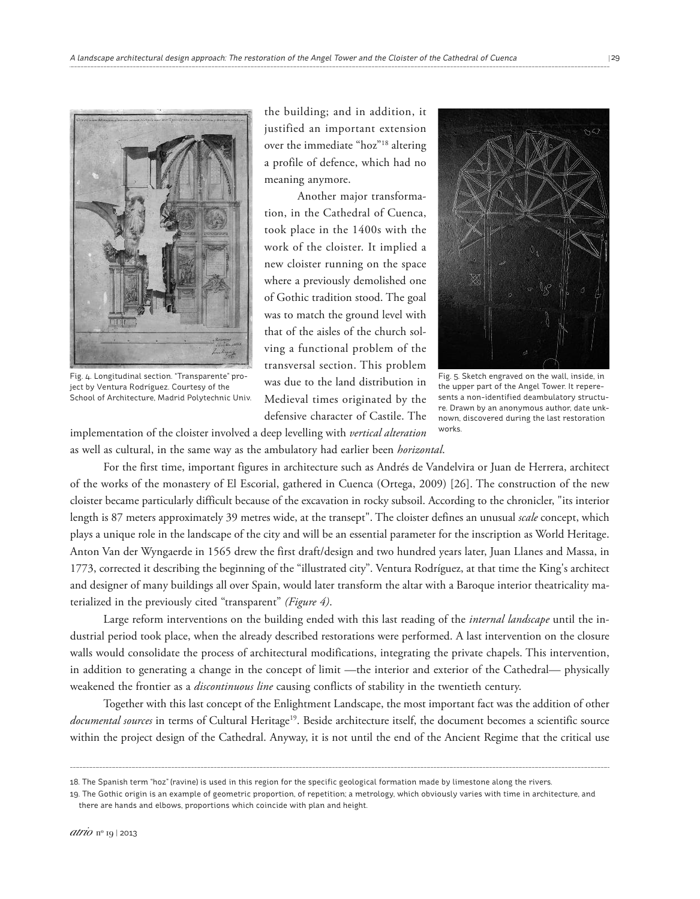

Fig. 4. Longitudinal section. "Transparente" project by Ventura Rodríguez. Courtesy of the School of Architecture, Madrid Polytechnic Univ.

the building; and in addition, it justified an important extension over the immediate "hoz"18 altering a profile of defence, which had no meaning anymore.

Another major transformation, in the Cathedral of Cuenca, took place in the 1400s with the work of the cloister. It implied a new cloister running on the space where a previously demolished one of Gothic tradition stood. The goal was to match the ground level with that of the aisles of the church solving a functional problem of the transversal section. This problem was due to the land distribution in Medieval times originated by the defensive character of Castile. The



Fig. 5. Sketch engraved on the wall, inside, in the upper part of the Angel Tower. It reperesents a non-identified deambulatory structure. Drawn by an anonymous author, date unknown, discovered during the last restoration works.

implementation of the cloister involved a deep levelling with *vertical alteration* as well as cultural, in the same way as the ambulatory had earlier been *horizontal*.

For the first time, important figures in architecture such as Andrés de Vandelvira or Juan de Herrera, architect of the works of the monastery of El Escorial, gathered in Cuenca (Ortega, 2009) [26]. The construction of the new cloister became particularly difficult because of the excavation in rocky subsoil. According to the chronicler, "its interior length is 87 meters approximately 39 metres wide, at the transept". The cloister defines an unusual *scale* concept, which plays a unique role in the landscape of the city and will be an essential parameter for the inscription as World Heritage. Anton Van der Wyngaerde in 1565 drew the first draft/design and two hundred years later, Juan Llanes and Massa, in 1773, corrected it describing the beginning of the "illustrated city". Ventura Rodríguez, at that time the King's architect and designer of many buildings all over Spain, would later transform the altar with a Baroque interior theatricality materialized in the previously cited "transparent" *(Figure 4)*.

Large reform interventions on the building ended with this last reading of the *internal landscape* until the industrial period took place, when the already described restorations were performed. A last intervention on the closure walls would consolidate the process of architectural modifications, integrating the private chapels. This intervention, in addition to generating a change in the concept of limit —the interior and exterior of the Cathedral— physically weakened the frontier as a *discontinuous line* causing conflicts of stability in the twentieth century.

Together with this last concept of the Enlightment Landscape, the most important fact was the addition of other documental sources in terms of Cultural Heritage<sup>19</sup>. Beside architecture itself, the document becomes a scientific source within the project design of the Cathedral. Anyway, it is not until the end of the Ancient Regime that the critical use

<sup>18.</sup> The Spanish term "hoz" (ravine) is used in this region for the specific geological formation made by limestone along the rivers.

<sup>19.</sup> The Gothic origin is an example of geometric proportion, of repetition; a metrology, which obviously varies with time in architecture, and there are hands and elbows, proportions which coincide with plan and height.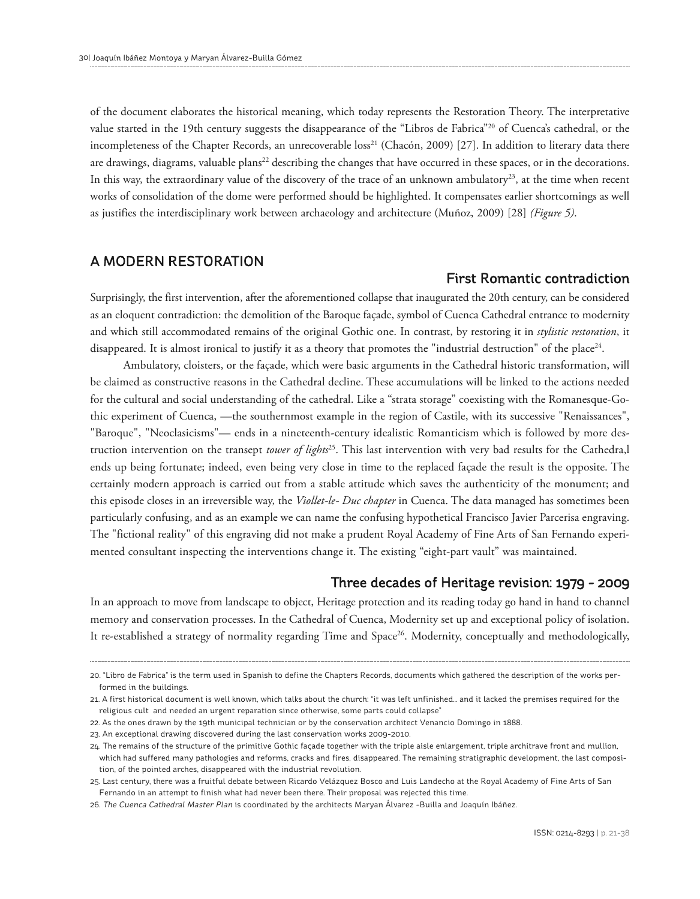of the document elaborates the historical meaning, which today represents the Restoration Theory. The interpretative value started in the 19th century suggests the disappearance of the "Libros de Fabrica"20 of Cuenca's cathedral, or the incompleteness of the Chapter Records, an unrecoverable loss <sup>21</sup> (Chacón, 2009) [27]. In addition to literary data there are drawings, diagrams, valuable plans<sup>22</sup> describing the changes that have occurred in these spaces, or in the decorations. In this way, the extraordinary value of the discovery of the trace of an unknown ambulatory<sup>23</sup>, at the time when recent works of consolidation of the dome were performed should be highlighted. It compensates earlier shortcomings as well as justifies the interdisciplinary work between archaeology and architecture (Muñoz, 2009) [28] *(Figure 5)*.

## A MODERN RESTORATION

### First Romantic contradiction

Surprisingly, the first intervention, after the aforementioned collapse that inaugurated the 20th century, can be considered as an eloquent contradiction: the demolition of the Baroque façade, symbol of Cuenca Cathedral entrance to modernity and which still accommodated remains of the original Gothic one. In contrast, by restoring it in *stylistic restoration*, it disappeared. It is almost ironical to justify it as a theory that promotes the "industrial destruction" of the place<sup>24</sup>.

Ambulatory, cloisters, or the façade, which were basic arguments in the Cathedral historic transformation, will be claimed as constructive reasons in the Cathedral decline. These accumulations will be linked to the actions needed for the cultural and social understanding of the cathedral. Like a "strata storage" coexisting with the Romanesque-Gothic experiment of Cuenca, —the southernmost example in the region of Castile, with its successive "Renaissances", "Baroque", "Neoclasicisms"— ends in a nineteenth-century idealistic Romanticism which is followed by more destruction intervention on the transept *tower of lights* 25 . This last intervention with very bad results for the Cathedra,l ends up being fortunate; indeed, even being very close in time to the replaced façade the result is the opposite. The certainly modern approach is carried out from a stable attitude which saves the authenticity of the monument; and this episode closes in an irreversible way, the *Viollet-le- Duc chapter* in Cuenca. The data managed has sometimes been particularly confusing, and as an example we can name the confusing hypothetical Francisco Javier Parcerisa engraving. The "fictional reality" of this engraving did not make a prudent Royal Academy of Fine Arts of San Fernando experimented consultant inspecting the interventions change it. The existing "eight-part vault" was maintained.

#### Three decades of Heritage revision: 1979 - 2009

In an approach to move from landscape to object, Heritage protection and its reading today go hand in hand to channel memory and conservation processes. In the Cathedral of Cuenca, Modernity set up and exceptional policy of isolation. It re-established a strategy of normality regarding Time and Space<sup>26</sup>. Modernity, conceptually and methodologically,

<sup>20.</sup> "Libro de Fabrica" is the term used in Spanish to define the Chapters Records, documents which gathered the description of the works performed in the buildings.

<sup>21.</sup> A first historical document is well known, which talks about the church: "it was left unfinished… and it lacked the premises required for the religious cult and needed an urgent reparation since otherwise, some parts could collapse"

<sup>22.</sup> As the ones drawn by the 19th municipal technician or by the conservation architect Venancio Domingo in 1888.

<sup>23.</sup> An exceptional drawing discovered during the last conservation works 2009-2010.

<sup>24.</sup> The remains of the structure of the primitive Gothic façade together with the triple aisle enlargement, triple architrave front and mullion, which had suffered many pathologies and reforms, cracks and fires, disappeared. The remaining stratigraphic development, the last composition, of the pointed arches, disappeared with the industrial revolution.

<sup>25.</sup> Last century, there was a fruitful debate between Ricardo Velázquez Bosco and Luis Landecho at the Royal Academy of Fine Arts of San Fernando in an attempt to finish what had never been there. Their proposal was rejected this time.

<sup>26.</sup> The Cuenca Cathedral Master Plan is coordinated by the architects Maryan Álvarez -Builla and Joaquín Ibáñez.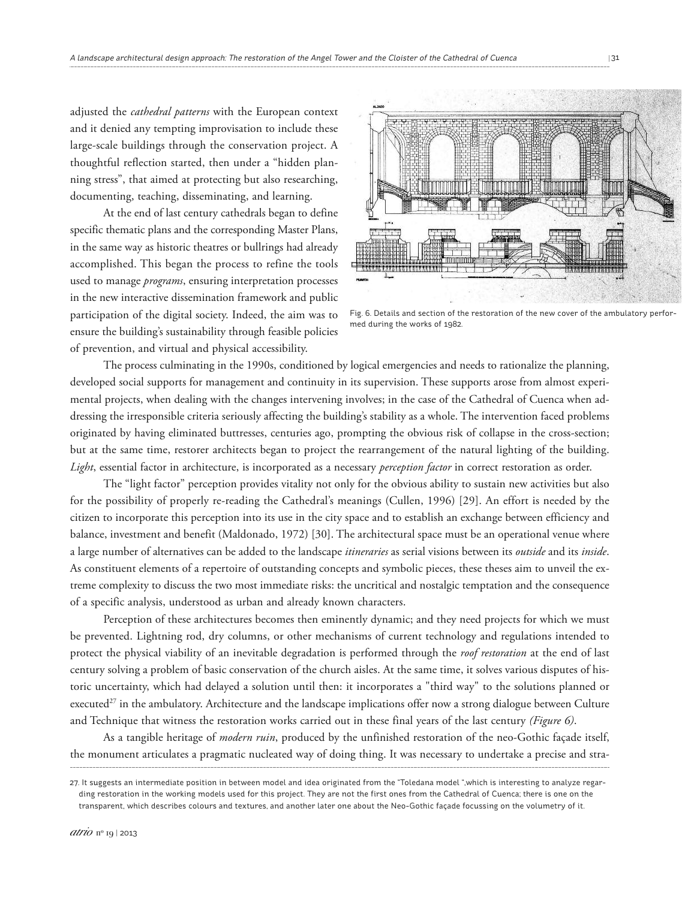adjusted the *cathedral patterns* with the European context and it denied any tempting improvisation to include these large-scale buildings through the conservation project. A thoughtful reflection started, then under a "hidden planning stress", that aimed at protecting but also researching, documenting, teaching, disseminating, and learning.

At the end of last century cathedrals began to define specific thematic plans and the corresponding Master Plans, in the same way as historic theatres or bullrings had already accomplished. This began the process to refine the tools used to manage *programs*, ensuring interpretation processes in the new interactive dissemination framework and public participation of the digital society. Indeed, the aim was to ensure the building's sustainability through feasible policies of prevention, and virtual and physical accessibility.



Fig. 6. Details and section of the restoration of the new cover of the ambulatory performed during the works of 1982.

The process culminating in the 1990s, conditioned by logical emergencies and needs to rationalize the planning, developed social supports for management and continuity in its supervision. These supports arose from almost experimental projects, when dealing with the changes intervening involves; in the case of the Cathedral of Cuenca when addressing the irresponsible criteria seriously affecting the building's stability as a whole. The intervention faced problems originated by having eliminated buttresses, centuries ago, prompting the obvious risk of collapse in the cross-section; but at the same time, restorer architects began to project the rearrangement of the natural lighting of the building. *Light*, essential factor in architecture, is incorporated as a necessary *perception factor* in correct restoration as order.

The "light factor" perception provides vitality not only for the obvious ability to sustain new activities but also for the possibility of properly re-reading the Cathedral's meanings (Cullen, 1996) [29]. An effort is needed by the citizen to incorporate this perception into its use in the city space and to establish an exchange between efficiency and balance, investment and benefit (Maldonado, 1972) [30]. The architectural space must be an operational venue where a large number of alternatives can be added to the landscape *itineraries* as serial visions between its *outside* and its *inside*. As constituent elements of a repertoire of outstanding concepts and symbolic pieces, these theses aim to unveil the extreme complexity to discuss the two most immediate risks: the uncritical and nostalgic temptation and the consequence of a specific analysis, understood as urban and already known characters.

Perception of these architectures becomes then eminently dynamic; and they need projects for which we must be prevented. Lightning rod, dry columns, or other mechanisms of current technology and regulations intended to protect the physical viability of an inevitable degradation is performed through the *roof restoration* at the end of last century solving a problem of basic conservation of the church aisles. At the same time, it solves various disputes of historic uncertainty, which had delayed a solution until then: it incorporates a "third way" to the solutions planned or executed<sup>27</sup> in the ambulatory. Architecture and the landscape implications offer now a strong dialogue between Culture and Technique that witness the restoration works carried out in these final years of the last century *(Figure 6)*.

As a tangible heritage of *modern ruin*, produced by the unfinished restoration of the neo-Gothic façade itself, the monument articulates a pragmatic nucleated way of doing thing. It was necessary to undertake a precise and stra-

<sup>27.</sup> It suggests an intermediate position in between model and idea originated from the "Toledana model ",which is interesting to analyze regarding restoration in the working models used for this project. They are not the first ones from the Cathedral of Cuenca; there is one on the transparent, which describes colours and textures, and another later one about the Neo-Gothic façade focussing on the volumetry of it.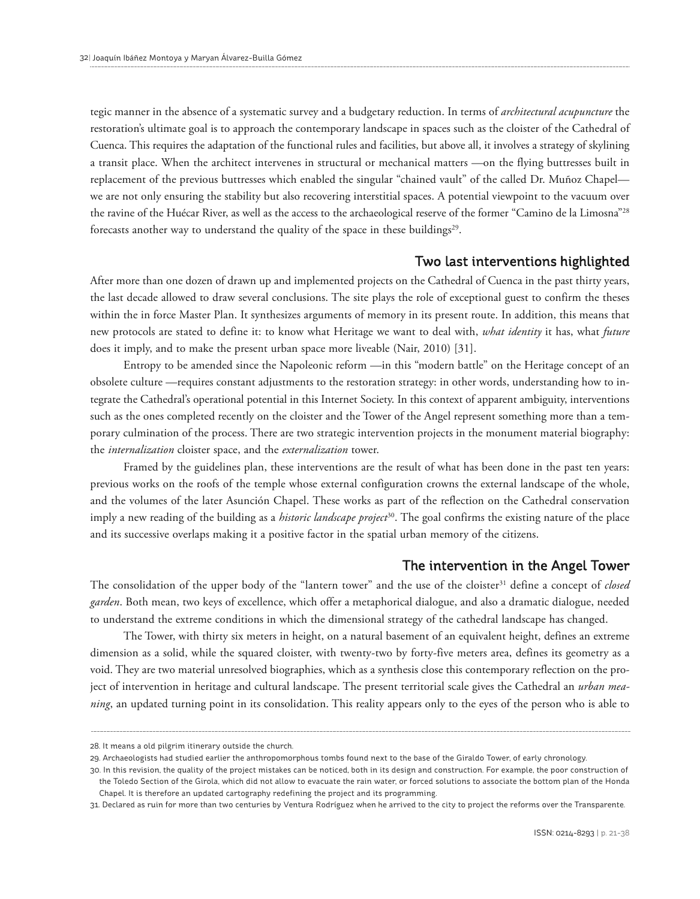tegic manner in the absence of a systematic survey and a budgetary reduction. In terms of *architectural acupuncture* the restoration's ultimate goal is to approach the contemporary landscape in spaces such as the cloister of the Cathedral of Cuenca. This requires the adaptation of the functional rules and facilities, but above all, it involves a strategy of skylining a transit place. When the architect intervenes in structural or mechanical matters —on the flying buttresses built in replacement of the previous buttresses which enabled the singular "chained vault" of the called Dr. Muñoz Chapel we are not only ensuring the stability but also recovering interstitial spaces. A potential viewpoint to the vacuum over the ravine of the Huécar River, as well as the access to the archaeological reserve of the former "Camino de la Limosna"28 forecasts another way to understand the quality of the space in these buildings 29 .

## Two last interventions highlighted

After more than one dozen of drawn up and implemented projects on the Cathedral of Cuenca in the past thirty years, the last decade allowed to draw several conclusions. The site plays the role of exceptional guest to confirm the theses within the in force Master Plan. It synthesizes arguments of memory in its present route. In addition, this means that new protocols are stated to define it: to know what Heritage we want to deal with, *what identity* it has, what *future* does it imply, and to make the present urban space more liveable (Nair, 2010) [31].

Entropy to be amended since the Napoleonic reform —in this "modern battle" on the Heritage concept of an obsolete culture —requires constant adjustments to the restoration strategy: in other words, understanding how to integrate the Cathedral's operational potential in this Internet Society. In this context of apparent ambiguity, interventions such as the ones completed recently on the cloister and the Tower of the Angel represent something more than a temporary culmination of the process. There are two strategic intervention projects in the monument material biography: the *internalization* cloister space, and the *externalization* tower.

Framed by the guidelines plan, these interventions are the result of what has been done in the past ten years: previous works on the roofs of the temple whose external configuration crowns the external landscape of the whole, and the volumes of the later Asunción Chapel. These works as part of the reflection on the Cathedral conservation imply a new reading of the building as a *historic landscape project* 30 . The goal confirms the existing nature of the place and its successive overlaps making it a positive factor in the spatial urban memory of the citizens.

#### The intervention in the Angel Tower

The consolidation of the upper body of the "lantern tower" and the use of the cloister<sup>31</sup> define a concept of *closed garden*. Both mean, two keys of excellence, which offer a metaphorical dialogue, and also a dramatic dialogue, needed to understand the extreme conditions in which the dimensional strategy of the cathedral landscape has changed.

The Tower, with thirty six meters in height, on a natural basement of an equivalent height, defines an extreme dimension as a solid, while the squared cloister, with twenty-two by forty-five meters area, defines its geometry as a void. They are two material unresolved biographies, which as a synthesis close this contemporary reflection on the project of intervention in heritage and cultural landscape. The present territorial scale gives the Cathedral an *urban meaning*, an updated turning point in its consolidation. This reality appears only to the eyes of the person who is able to

<sup>28.</sup> It means a old pilgrim itinerary outside the church.

<sup>29.</sup> Archaeologists had studied earlier the anthropomorphous tombs found next to the base of the Giraldo Tower, of early chronology.

<sup>30.</sup> In this revision, the quality of the project mistakes can be noticed, both in its design and construction. For example, the poor construction of the Toledo Section of the Girola, which did not allow to evacuate the rain water, or forced solutions to associate the bottom plan of the Honda Chapel. It is therefore an updated cartography redefining the project and its programming.

<sup>31.</sup> Declared as ruin for more than two centuries by Ventura Rodríguez when he arrived to the city to project the reforms over the Transparente.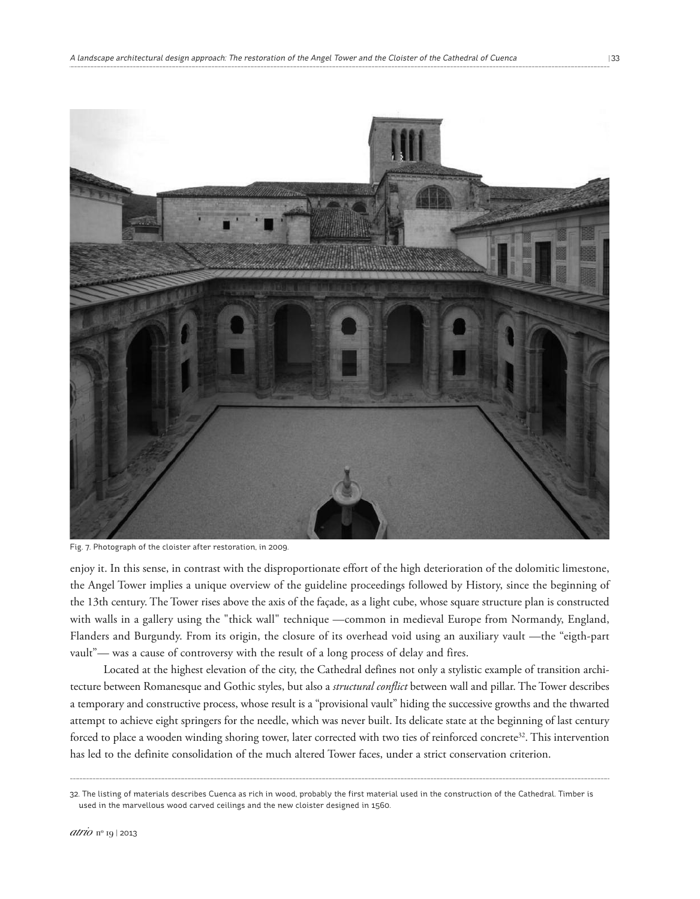

Fig. 7. Photograph of the cloister after restoration, in 2009.

enjoy it. In this sense, in contrast with the disproportionate effort of the high deterioration of the dolomitic limestone, the Angel Tower implies a unique overview of the guideline proceedings followed by History, since the beginning of the 13th century. The Tower rises above the axis of the façade, as a light cube, whose square structure plan is constructed with walls in a gallery using the "thick wall" technique —common in medieval Europe from Normandy, England, Flanders and Burgundy. From its origin, the closure of its overhead void using an auxiliary vault —the "eigth-part vault"— was a cause of controversy with the result of a long process of delay and fires.

Located at the highest elevation of the city, the Cathedral defines not only a stylistic example of transition architecture between Romanesque and Gothic styles, but also a *structural conflict* between wall and pillar. The Tower describes a temporary and constructive process, whose result is a "provisional vault" hiding the successive growths and the thwarted attempt to achieve eight springers for the needle, which was never built. Its delicate state at the beginning of last century forced to place a wooden winding shoring tower, later corrected with two ties of reinforced concrete<sup>32</sup>. This intervention has led to the definite consolidation of the much altered Tower faces, under a strict conservation criterion.

<sup>32.</sup> The listing of materials describes Cuenca as rich in wood, probably the first material used in the construction of the Cathedral. Timber is used in the marvellous wood carved ceilings and the new cloister designed in 1560.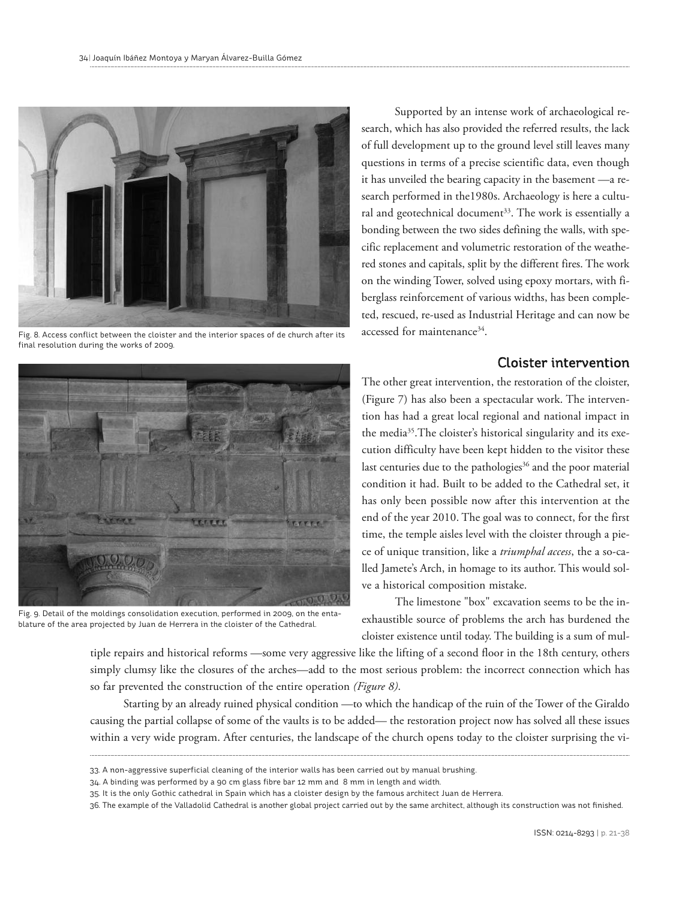

Fig. 8. Access conflict between the cloister and the interior spaces of de church after its final resolution during the works of 2009.

Supported by an intense work of archaeological research, which has also provided the referred results, the lack of full development up to the ground level still leaves many questions in terms of a precise scientific data, even though it has unveiled the bearing capacity in the basement —a research performed in the1980s. Archaeology is here a cultural and geotechnical document 33 . The work is essentially a bonding between the two sides defining the walls, with specific replacement and volumetric restoration of the weathered stones and capitals, split by the different fires. The work on the winding Tower, solved using epoxy mortars, with fiberglass reinforcement of various widths, has been completed, rescued, re-used as Industrial Heritage and can now be accessed for maintenance<sup>34</sup>.

## Cloister intervention



Fig. 9. Detail of the moldings consolidation execution, performed in 2009, on the entablature of the area projected by Juan de Herrera in the cloister of the Cathedral.

The other great intervention, the restoration of the cloister, (Figure 7) has also been a spectacular work. The intervention has had a great local regional and national impact in the media35 .The cloister's historical singularity and its execution difficulty have been kept hidden to the visitor these last centuries due to the pathologies <sup>36</sup> and the poor material condition it had. Built to be added to the Cathedral set, it has only been possible now after this intervention at the end of the year 2010. The goal was to connect, for the first time, the temple aisles level with the cloister through a piece of unique transition, like a *triumphal access*, the a so-called Jamete's Arch, in homage to its author. This would solve a historical composition mistake.

The limestone "box" excavation seems to be the inexhaustible source of problems the arch has burdened the cloister existence until today. The building is a sum of mul-

tiple repairs and historical reforms —some very aggressive like the lifting of a second floor in the 18th century, others simply clumsy like the closures of the arches—add to the most serious problem: the incorrect connection which has so far prevented the construction of the entire operation *(Figure 8)*.

Starting by an already ruined physical condition —to which the handicap of the ruin of the Tower of the Giraldo causing the partial collapse of some of the vaults is to be added— the restoration project now has solved all these issues within a very wide program. After centuries, the landscape of the church opens today to the cloister surprising the vi-

<sup>33.</sup> A non-aggressive superficial cleaning of the interior walls has been carried out by manual brushing.

<sup>34.</sup> A binding was performed by a 90 cm glass fibre bar 12 mm and 8 mm in length and width.

<sup>35.</sup> It is the only Gothic cathedral in Spain which has a cloister design by the famous architect Juan de Herrera.

<sup>36.</sup> The example of the Valladolid Cathedral is another global project carried out by the same architect, although its construction was not finished.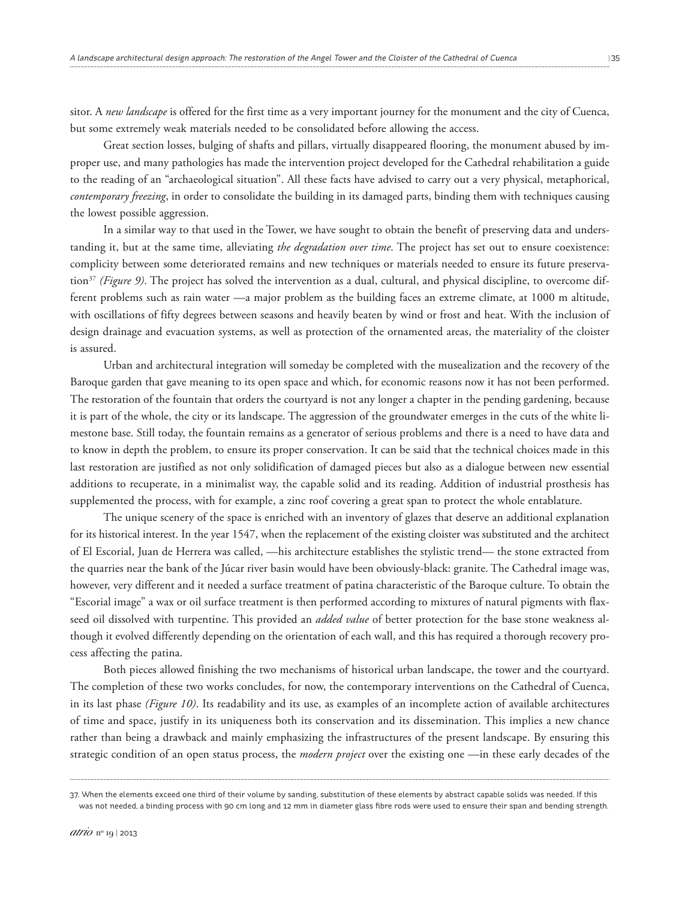sitor. A *new landscape* is offered for the first time as a very important journey for the monument and the city of Cuenca, but some extremely weak materials needed to be consolidated before allowing the access.

Great section losses, bulging of shafts and pillars, virtually disappeared flooring, the monument abused by improper use, and many pathologies has made the intervention project developed for the Cathedral rehabilitation a guide to the reading of an "archaeological situation". All these facts have advised to carry out a very physical, metaphorical, *contemporary freezing*, in order to consolidate the building in its damaged parts, binding them with techniques causing the lowest possible aggression.

In a similar way to that used in the Tower, we have sought to obtain the benefit of preserving data and understanding it, but at the same time, alleviating *the degradation over time*. The project has set out to ensure coexistence: complicity between some deteriorated remains and new techniques or materials needed to ensure its future preservation37 *(Figure 9)*. The project has solved the intervention as a dual, cultural, and physical discipline, to overcome different problems such as rain water —a major problem as the building faces an extreme climate, at 1000 m altitude, with oscillations of fifty degrees between seasons and heavily beaten by wind or frost and heat. With the inclusion of design drainage and evacuation systems, as well as protection of the ornamented areas, the materiality of the cloister is assured.

Urban and architectural integration will someday be completed with the musealization and the recovery of the Baroque garden that gave meaning to its open space and which, for economic reasons now it has not been performed. The restoration of the fountain that orders the courtyard is not any longer a chapter in the pending gardening, because it is part of the whole, the city or its landscape. The aggression of the groundwater emerges in the cuts of the white limestone base. Still today, the fountain remains as a generator of serious problems and there is a need to have data and to know in depth the problem, to ensure its proper conservation. It can be said that the technical choices made in this last restoration are justified as not only solidification of damaged pieces but also as a dialogue between new essential additions to recuperate, in a minimalist way, the capable solid and its reading. Addition of industrial prosthesis has supplemented the process, with for example, a zinc roof covering a great span to protect the whole entablature.

The unique scenery of the space is enriched with an inventory of glazes that deserve an additional explanation for its historical interest. In the year 1547, when the replacement of the existing cloister was substituted and the architect of El Escorial, Juan de Herrera was called, —his architecture establishes the stylistic trend— the stone extracted from the quarries near the bank of the Júcar river basin would have been obviously-black: granite. The Cathedral image was, however, very different and it needed a surface treatment of patina characteristic of the Baroque culture. To obtain the "Escorial image" a wax or oil surface treatment is then performed according to mixtures of natural pigments with flaxseed oil dissolved with turpentine. This provided an *added value* of better protection for the base stone weakness although it evolved differently depending on the orientation of each wall, and this has required a thorough recovery process affecting the patina.

Both pieces allowed finishing the two mechanisms of historical urban landscape, the tower and the courtyard. The completion of these two works concludes, for now, the contemporary interventions on the Cathedral of Cuenca, in its last phase *(Figure 10)*. Its readability and its use, as examples of an incomplete action of available architectures of time and space, justify in its uniqueness both its conservation and its dissemination. This implies a new chance rather than being a drawback and mainly emphasizing the infrastructures of the present landscape. By ensuring this strategic condition of an open status process, the *modern project* over the existing one —in these early decades of the

<sup>37.</sup> When the elements exceed one third of their volume by sanding, substitution of these elements by abstract capable solids was needed. If this was not needed, a binding process with 90 cm long and 12 mm in diameter glass fibre rods were used to ensure their span and bending strength.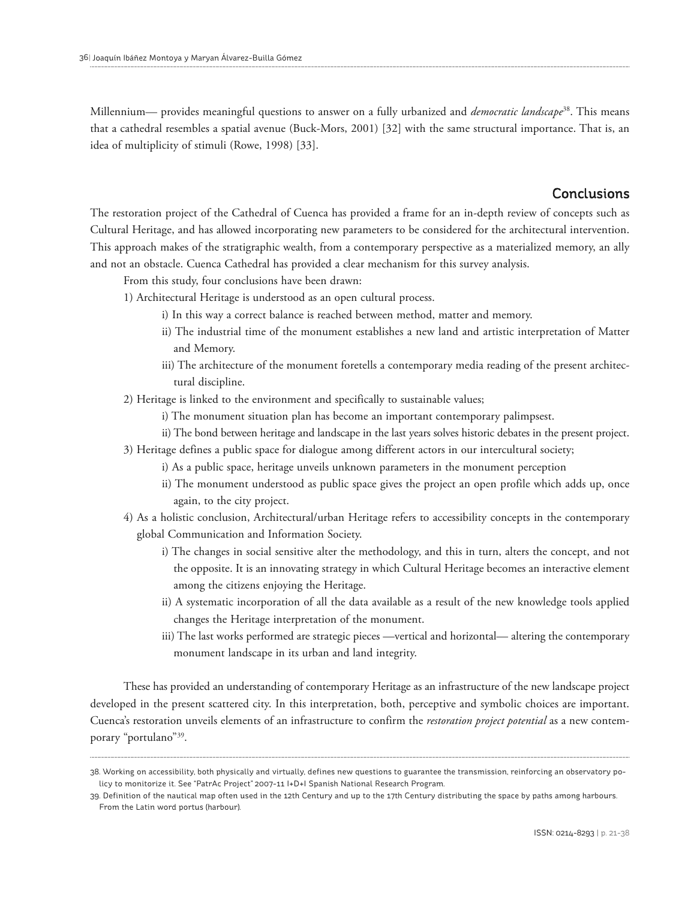Millennium— provides meaningful questions to answer on a fully urbanized and *democratic landscape*<sup>38</sup> . This means that a cathedral resembles a spatial avenue (Buck-Mors, 2001) [32] with the same structural importance. That is, an idea of multiplicity of stimuli (Rowe, 1998) [33].

## **Conclusions**

The restoration project of the Cathedral of Cuenca has provided a frame for an in-depth review of concepts such as Cultural Heritage, and has allowed incorporating new parameters to be considered for the architectural intervention. This approach makes of the stratigraphic wealth, from a contemporary perspective as a materialized memory, an ally and not an obstacle. Cuenca Cathedral has provided a clear mechanism for this survey analysis.

From this study, four conclusions have been drawn:

- 1) Architectural Heritage is understood as an open cultural process.
	- i) In this way a correct balance is reached between method, matter and memory.
	- ii) The industrial time of the monument establishes a new land and artistic interpretation of Matter and Memory.
	- iii) The architecture of the monument foretells a contemporary media reading of the present architectural discipline.
- 2) Heritage is linked to the environment and specifically to sustainable values;
	- i) The monument situation plan has become an important contemporary palimpsest.
	- ii) The bond between heritage and landscape in the last years solves historic debates in the present project.
- 3) Heritage defines a public space for dialogue among different actors in our intercultural society;
	- i) As a public space, heritage unveils unknown parameters in the monument perception
	- ii) The monument understood as public space gives the project an open profile which adds up, once again, to the city project.
- 4) As a holistic conclusion, Architectural/urban Heritage refers to accessibility concepts in the contemporary global Communication and Information Society.
	- i) The changes in social sensitive alter the methodology, and this in turn, alters the concept, and not the opposite. It is an innovating strategy in which Cultural Heritage becomes an interactive element among the citizens enjoying the Heritage.
	- ii) A systematic incorporation of all the data available as a result of the new knowledge tools applied changes the Heritage interpretation of the monument.
	- iii) The last works performed are strategic pieces —vertical and horizontal— altering the contemporary monument landscape in its urban and land integrity.

These has provided an understanding of contemporary Heritage as an infrastructure of the new landscape project developed in the present scattered city. In this interpretation, both, perceptive and symbolic choices are important. Cuenca's restoration unveils elements of an infrastructure to confirm the *restoration project potential* as a new contemporary "portulano"39 .

<sup>38.</sup> Working on accessibility, both physically and virtually, defines new questions to guarantee the transmission, reinforcing an observatory policy to monitorize it. See "PatrAc Project" 2007-11 I+D+I Spanish National Research Program.

<sup>39.</sup> Definition of the nautical map often used in the 12th Century and up to the 17th Century distributing the space by paths among harbours. From the Latin word portus (harbour).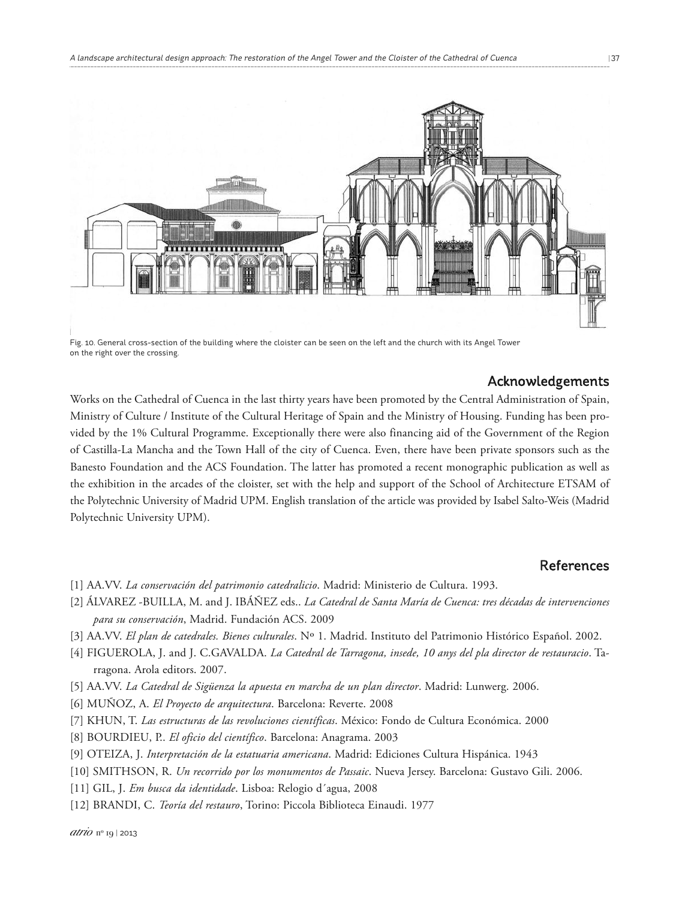

Fig. 10. General cross-section of the building where the cloister can be seen on the left and the church with its Angel Tower on the right over the crossing.

#### Acknowledgements

Works on the Cathedral of Cuenca in the last thirty years have been promoted by the Central Administration of Spain, Ministry of Culture / Institute of the Cultural Heritage of Spain and the Ministry of Housing. Funding has been provided by the 1% Cultural Programme. Exceptionally there were also financing aid of the Government of the Region of Castilla-La Mancha and the Town Hall of the city of Cuenca. Even, there have been private sponsors such as the Banesto Foundation and the ACS Foundation. The latter has promoted a recent monographic publication as well as the exhibition in the arcades of the cloister, set with the help and support of the School of Architecture ETSAM of the Polytechnic University of Madrid UPM. English translation of the article was provided by Isabel Salto-Weis (Madrid Polytechnic University UPM).

#### References

- [1] AA.VV. *La conservación del patrimonio catedralicio*. Madrid: Ministerio de Cultura. 1993.
- [2] ÁLVAREZ -BUILLA, M. and J. IBÁÑEZ eds.. *La Catedral de Santa María de Cuenca: tres décadas de intervenciones para su conservación*, Madrid. Fundación ACS. 2009
- [3] AA.VV. *El plan de catedrales. Bienes culturales*. Nº 1. Madrid. Instituto del Patrimonio Histórico Español. 2002.
- [4] FIGUEROLA, J. and J. C.GAVALDA. *La Catedral de Tarragona, insede, 10 anys del pla director de restauracio*. Tarragona. Arola editors. 2007.
- [5] AA.VV. *La Catedral de Sigüenza la apuesta en marcha de un plan director*. Madrid: Lunwerg. 2006.
- [6] MUÑOZ, A. *El Proyecto de arquitectura*. Barcelona: Reverte. 2008
- [7] KHUN, T. *Las estructuras de las revoluciones científicas*. México: Fondo de Cultura Económica. 2000
- [8] BOURDIEU, P.. *El oficio del científico*. Barcelona: Anagrama. 2003
- [9] OTEIZA, J. *Interpretación de la estatuaria americana*. Madrid: Ediciones Cultura Hispánica. 1943
- [10] SMITHSON, R. *Un recorrido por los monumentos de Passaic*. Nueva Jersey. Barcelona: Gustavo Gili. 2006.
- [11] GIL, J. *Em busca da identidade*. Lisboa: Relogio d´agua, 2008
- [12] BRANDI, C. *Teoría del restauro*, Torino: Piccola Biblioteca Einaudi. 1977